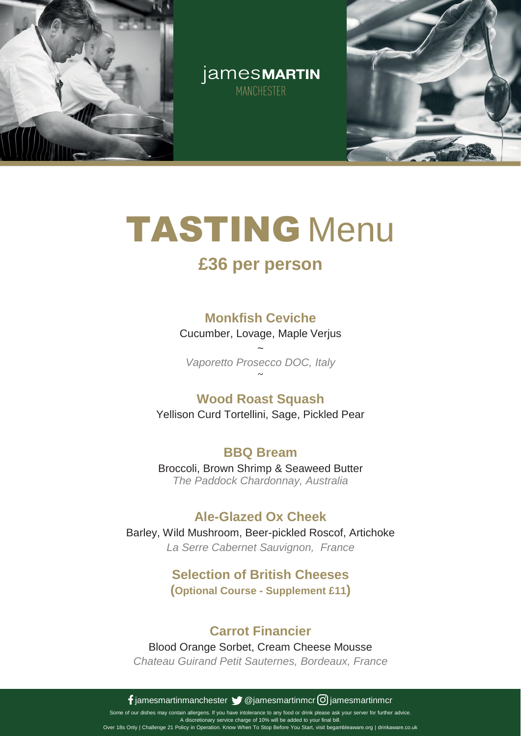

jamesMARTIN MANCHESTER



## TASTING Menu

## **£36 per person**

### **Monkfish Ceviche**

Cucumber, Lovage, Maple Verjus

~ *Vaporetto Prosecco DOC, Italy* ~

### **Wood Roast Squash**

Yellison Curd Tortellini, Sage, Pickled Pear

### **BBQ Bream**

Broccoli, Brown Shrimp & Seaweed Butter *The Paddock Chardonnay, Australia*

### **Ale-Glazed Ox Cheek**

Barley, Wild Mushroom, Beer-pickled Roscof, Artichoke *La Serre Cabernet Sauvignon, France*

#### **Selection of British Cheeses (Optional Course - Supplement £11)**

### **Carrot Financier**

Blood Orange Sorbet, Cream Cheese Mousse

*Chateau Guirand Petit Sauternes, Bordeaux, France*

**f** jamesmartinmanchester  $\blacktriangleright$  @jamesmartinmcr  $\heartsuit$  jamesmartinmcr

Some of our dishes may contain allergens. If you have intolerance to any food or drink please ask your server for further advice. A discretionary service charge of 10% will be added to your final bill. Over 18s Only | Challenge 21 Policy in Operation. Know When To Stop Before You Start, visit begambleaware.org | drinkaware.co.uk